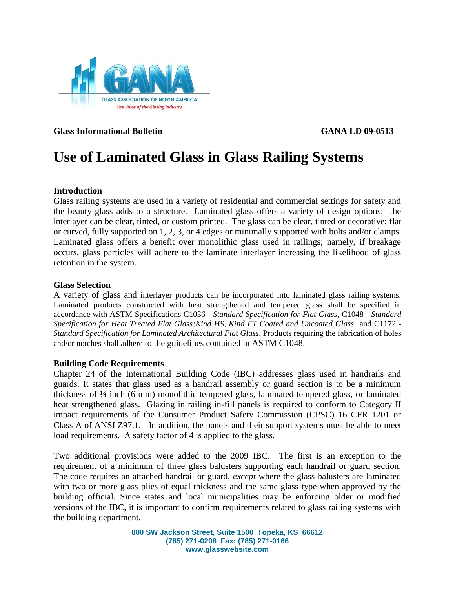

**Glass Informational Bulletin GANA LD 09-0513**

# **Use of Laminated Glass in Glass Railing Systems**

### **Introduction**

Glass railing systems are used in a variety of residential and commercial settings for safety and the beauty glass adds to a structure. Laminated glass offers a variety of design options: the interlayer can be clear, tinted, or custom printed. The glass can be clear, tinted or decorative; flat or curved, fully supported on 1, 2, 3, or 4 edges or minimally supported with bolts and/or clamps. Laminated glass offers a benefit over monolithic glass used in railings; namely, if breakage occurs, glass particles will adhere to the laminate interlayer increasing the likelihood of glass retention in the system.

### **Glass Selection**

A variety of glass and interlayer products can be incorporated into laminated glass railing systems. Laminated products constructed with heat strengthened and tempered glass shall be specified in accordance with ASTM Specifications C1036 - *Standard Specification for Flat Glass*, C1048 - *Standard Specification for Heat Treated Flat Glass;Kind HS, Kind FT Coated and Uncoated Glass* and C1172 - *Standard Specification for Laminated Architectural Flat Glass*. Products requiring the fabrication of holes and/or notches shall adhere to the guidelines contained in ASTM C1048.

### **Building Code Requirements**

Chapter 24 of the International Building Code (IBC) addresses glass used in handrails and guards. It states that glass used as a handrail assembly or guard section is to be a minimum thickness of ¼ inch (6 mm) monolithic tempered glass, laminated tempered glass, or laminated heat strengthened glass. Glazing in railing in-fill panels is required to conform to Category II impact requirements of the Consumer Product Safety Commission (CPSC) 16 CFR 1201 or Class A of ANSI Z97.1. In addition, the panels and their support systems must be able to meet load requirements. A safety factor of 4 is applied to the glass.

Two additional provisions were added to the 2009 IBC. The first is an exception to the requirement of a minimum of three glass balusters supporting each handrail or guard section. The code requires an attached handrail or guard, *except* where the glass balusters are laminated with two or more glass plies of equal thickness and the same glass type when approved by the building official. Since states and local municipalities may be enforcing older or modified versions of the IBC, it is important to confirm requirements related to glass railing systems with the building department.

> **800 SW Jackson Street, Suite 1500 Topeka, KS 66612 (785) 271-0208 Fax: (785) 271-0166 www.glasswebsite.com**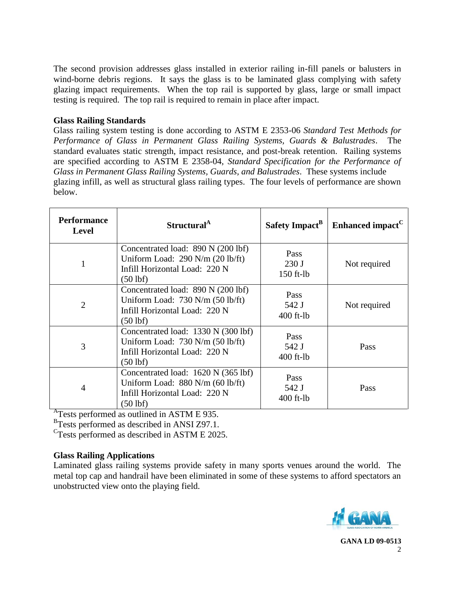The second provision addresses glass installed in exterior railing in-fill panels or balusters in wind-borne debris regions. It says the glass is to be laminated glass complying with safety glazing impact requirements. When the top rail is supported by glass, large or small impact testing is required. The top rail is required to remain in place after impact.

# **Glass Railing Standards**

Glass railing system testing is done according to ASTM E 2353-06 *Standard Test Methods for Performance of Glass in Permanent Glass Railing Systems, Guards & Balustrades*. The standard evaluates static strength, impact resistance, and post-break retention. Railing systems are specified according to ASTM E 2358-04, *Standard Specification for the Performance of Glass in Permanent Glass Railing Systems, Guards, and Balustrades*. These systems include glazing infill, as well as structural glass railing types. The four levels of performance are shown below.

| <b>Performance</b><br><b>Level</b> | Structural <sup>A</sup>                                                                                                    | Safety Impact <sup>B</sup>   | Enhanced impact <sup>C</sup> |
|------------------------------------|----------------------------------------------------------------------------------------------------------------------------|------------------------------|------------------------------|
| 1                                  | Concentrated load: 890 N (200 lbf)<br>Uniform Load: $290$ N/m $(20$ lb/ft)<br>Infill Horizontal Load: 220 N<br>$(50$ lbf)  | Pass<br>230J<br>$150$ ft-lb  | Not required                 |
| $\overline{2}$                     | Concentrated load: 890 N (200 lbf)<br>Uniform Load: $730$ N/m $(50$ lb/ft)<br>Infill Horizontal Load: 220 N<br>(50 lbf)    | Pass<br>542 J<br>$400$ ft-lb | Not required                 |
| 3                                  | Concentrated load: 1330 N (300 lbf)<br>Uniform Load: $730$ N/m $(50$ lb/ft)<br>Infill Horizontal Load: 220 N<br>$(50$ lbf) | Pass<br>542 J<br>$400$ ft-lb | Pass                         |
| $\overline{4}$                     | Concentrated load: 1620 N (365 lbf)<br>Uniform Load: $880$ N/m (60 lb/ft)<br>Infill Horizontal Load: 220 N<br>$(50$ lbf)   | Pass<br>542 J<br>$400$ ft-lb | Pass                         |

<sup>A</sup>Tests performed as outlined in ASTM E 935.

<sup>B</sup>Tests performed as described in ANSI Z97.1.

<sup>C</sup>Tests performed as described in ASTM E 2025.

# **Glass Railing Applications**

Laminated glass railing systems provide safety in many sports venues around the world. The metal top cap and handrail have been eliminated in some of these systems to afford spectators an unobstructed view onto the playing field.